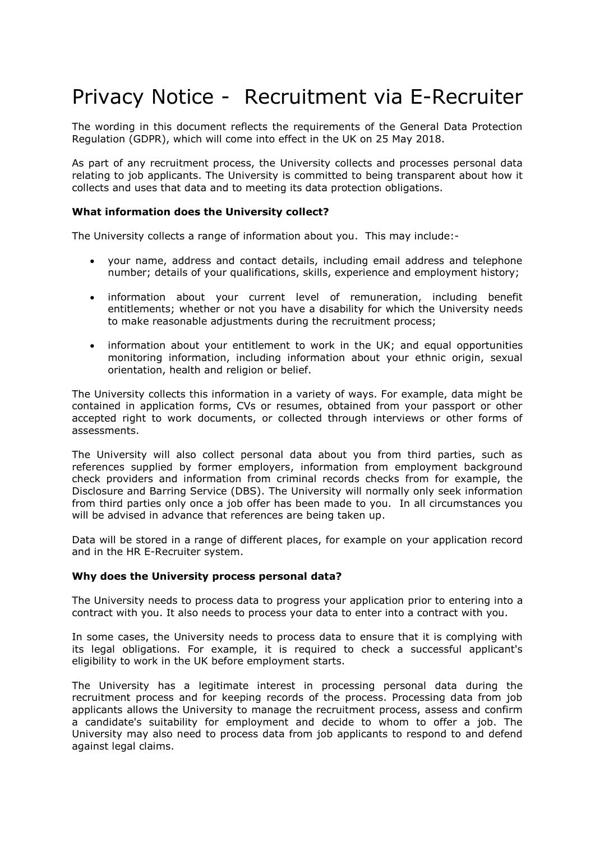# Privacy Notice - Recruitment via E-Recruiter

The wording in this document reflects the requirements of the General Data Protection Regulation (GDPR), which will come into effect in the UK on 25 May 2018.

As part of any recruitment process, the University collects and processes personal data relating to job applicants. The University is committed to being transparent about how it collects and uses that data and to meeting its data protection obligations.

## **What information does the University collect?**

The University collects a range of information about you. This may include:-

- your name, address and contact details, including email address and telephone number; details of your qualifications, skills, experience and employment history;
- information about your current level of remuneration, including benefit entitlements; whether or not you have a disability for which the University needs to make reasonable adjustments during the recruitment process;
- information about your entitlement to work in the UK; and equal opportunities monitoring information, including information about your ethnic origin, sexual orientation, health and religion or belief.

The University collects this information in a variety of ways. For example, data might be contained in application forms, CVs or resumes, obtained from your passport or other accepted right to work documents, or collected through interviews or other forms of assessments.

The University will also collect personal data about you from third parties, such as references supplied by former employers, information from employment background check providers and information from criminal records checks from for example, the Disclosure and Barring Service (DBS). The University will normally only seek information from third parties only once a job offer has been made to you. In all circumstances you will be advised in advance that references are being taken up.

Data will be stored in a range of different places, for example on your application record and in the HR E-Recruiter system.

## **Why does the University process personal data?**

The University needs to process data to progress your application prior to entering into a contract with you. It also needs to process your data to enter into a contract with you.

In some cases, the University needs to process data to ensure that it is complying with its legal obligations. For example, it is required to check a successful applicant's eligibility to work in the UK before employment starts.

The University has a legitimate interest in processing personal data during the recruitment process and for keeping records of the process. Processing data from job applicants allows the University to manage the recruitment process, assess and confirm a candidate's suitability for employment and decide to whom to offer a job. The University may also need to process data from job applicants to respond to and defend against legal claims.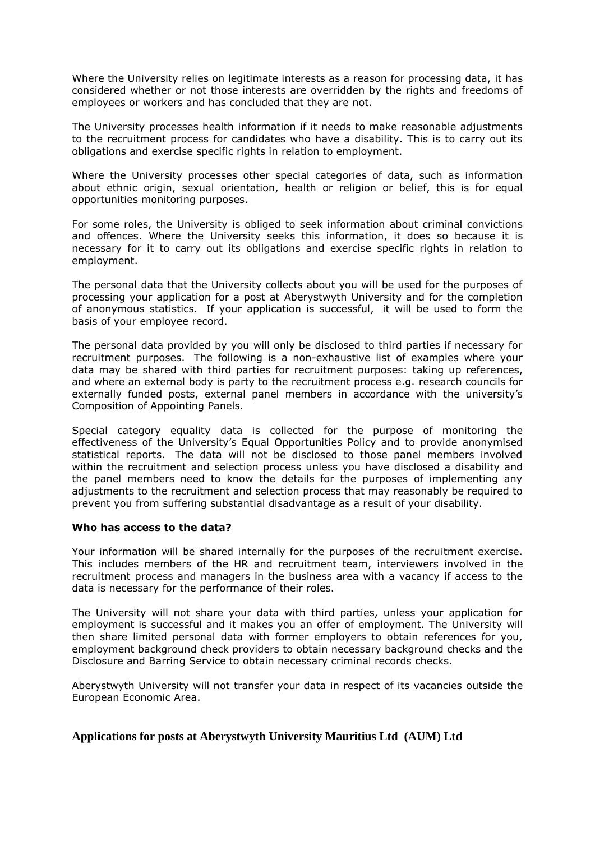Where the University relies on legitimate interests as a reason for processing data, it has considered whether or not those interests are overridden by the rights and freedoms of employees or workers and has concluded that they are not.

The University processes health information if it needs to make reasonable adjustments to the recruitment process for candidates who have a disability. This is to carry out its obligations and exercise specific rights in relation to employment.

Where the University processes other special categories of data, such as information about ethnic origin, sexual orientation, health or religion or belief, this is for equal opportunities monitoring purposes.

For some roles, the University is obliged to seek information about criminal convictions and offences. Where the University seeks this information, it does so because it is necessary for it to carry out its obligations and exercise specific rights in relation to employment.

The personal data that the University collects about you will be used for the purposes of processing your application for a post at Aberystwyth University and for the completion of anonymous statistics. If your application is successful, it will be used to form the basis of your employee record.

The personal data provided by you will only be disclosed to third parties if necessary for recruitment purposes. The following is a non-exhaustive list of examples where your data may be shared with third parties for recruitment purposes: taking up references, and where an external body is party to the recruitment process e.g. research councils for externally funded posts, external panel members in accordance with the university's Composition of Appointing Panels.

Special category equality data is collected for the purpose of monitoring the effectiveness of the University's Equal Opportunities Policy and to provide anonymised statistical reports. The data will not be disclosed to those panel members involved within the recruitment and selection process unless you have disclosed a disability and the panel members need to know the details for the purposes of implementing any adjustments to the recruitment and selection process that may reasonably be required to prevent you from suffering substantial disadvantage as a result of your disability.

## **Who has access to the data?**

Your information will be shared internally for the purposes of the recruitment exercise. This includes members of the HR and recruitment team, interviewers involved in the recruitment process and managers in the business area with a vacancy if access to the data is necessary for the performance of their roles.

The University will not share your data with third parties, unless your application for employment is successful and it makes you an offer of employment. The University will then share limited personal data with former employers to obtain references for you, employment background check providers to obtain necessary background checks and the Disclosure and Barring Service to obtain necessary criminal records checks.

Aberystwyth University will not transfer your data in respect of its vacancies outside the European Economic Area.

## **Applications for posts at Aberystwyth University Mauritius Ltd (AUM) Ltd**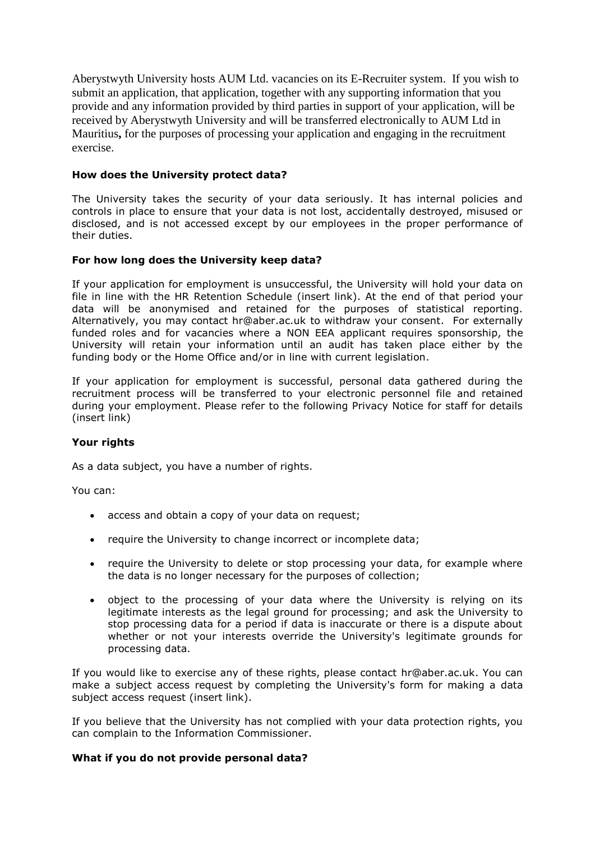Aberystwyth University hosts AUM Ltd. vacancies on its E-Recruiter system. If you wish to submit an application, that application, together with any supporting information that you provide and any information provided by third parties in support of your application, will be received by Aberystwyth University and will be transferred electronically to AUM Ltd in Mauritius**,** for the purposes of processing your application and engaging in the recruitment exercise.

## **How does the University protect data?**

The University takes the security of your data seriously. It has internal policies and controls in place to ensure that your data is not lost, accidentally destroyed, misused or disclosed, and is not accessed except by our employees in the proper performance of their duties.

## **For how long does the University keep data?**

If your application for employment is unsuccessful, the University will hold your data on file in line with the HR Retention Schedule (insert link). At the end of that period your data will be anonymised and retained for the purposes of statistical reporting. Alternatively, you may contact hr@aber.ac.uk to withdraw your consent. For externally funded roles and for vacancies where a NON EEA applicant requires sponsorship, the University will retain your information until an audit has taken place either by the funding body or the Home Office and/or in line with current legislation.

If your application for employment is successful, personal data gathered during the recruitment process will be transferred to your electronic personnel file and retained during your employment. Please refer to the following Privacy Notice for staff for details (insert link)

## **Your rights**

As a data subject, you have a number of rights.

You can:

- access and obtain a copy of your data on request;
- require the University to change incorrect or incomplete data;
- require the University to delete or stop processing your data, for example where the data is no longer necessary for the purposes of collection;
- object to the processing of your data where the University is relying on its legitimate interests as the legal ground for processing; and ask the University to stop processing data for a period if data is inaccurate or there is a dispute about whether or not your interests override the University's legitimate grounds for processing data.

If you would like to exercise any of these rights, please contact hr@aber.ac.uk. You can make a subject access request by completing the University's form for making a data subject access request (insert link).

If you believe that the University has not complied with your data protection rights, you can complain to the Information Commissioner.

## **What if you do not provide personal data?**